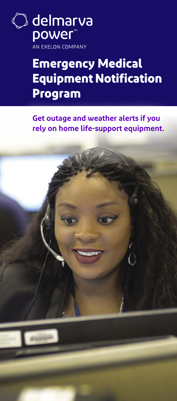○ delmarva<br>power® **-**<br>AN EXELON COMPANY

# **Emergency Medical Equipment Notification Program**

**Get outage and weather alerts if you rely on home life-support equipment.**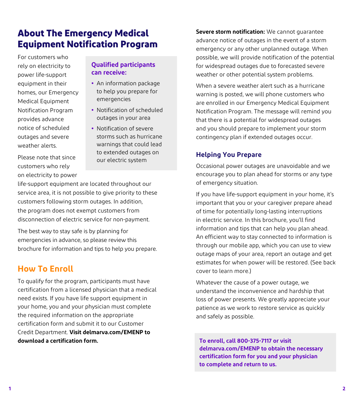# **About The Emergency Medical Equipment Notification Program**

For customers who rely on electricity to power life-support equipment in their homes, our Emergency Medical Equipment Notification Program provides advance notice of scheduled outages and severe weather alerts.

**Qualified participants can receive:**

- **•** An information package to help you prepare for emergencies
- **•** Notification of scheduled outages in your area
- **•** Notification of severe storms such as hurricane warnings that could lead to extended outages on our electric system

Please note that since customers who rely on electricity to power

life-support equipment are located throughout our service area, it is not possible to give priority to these customers following storm outages. In addition, the program does not exempt customers from disconnection of electric service for non-payment.

The best way to stay safe is by planning for emergencies in advance, so please review this brochure for information and tips to help you prepare.

## **How To Enroll**

To qualify for the program, participants must have certification from a licensed physician that a medical need exists. If you have life support equipment in your home, you and your physician must complete the required information on the appropriate certification form and submit it to our Customer Credit Department. **Visit [delmarva.com/EMENP](http://www.delmarva.com/EMENP) to download a certification form.**

**Severe storm notification:** We cannot guarantee advance notice of outages in the event of a storm emergency or any other unplanned outage. When possible, we will provide notification of the potential for widespread outages due to forecasted severe weather or other potential system problems.

When a severe weather alert such as a hurricane warning is posted, we will phone customers who are enrolled in our Emergency Medical Equipment Notification Program. The message will remind you that there is a potential for widespread outages and you should prepare to implement your storm contingency plan if extended outages occur.

#### **Helping You Prepare**

Occasional power outages are unavoidable and we encourage you to plan ahead for storms or any type of emergency situation.

If you have life-support equipment in your home, it's important that you or your caregiver prepare ahead of time for potentially long-lasting interruptions in electric service. In this brochure, you'll find information and tips that can help you plan ahead. An efficient way to stay connected to information is through our mobile app, which you can use to view outage maps of your area, report an outage and get estimates for when power will be restored. (See back cover to learn more.)

Whatever the cause of a power outage, we understand the inconvenience and hardship that loss of power presents. We greatly appreciate your patience as we work to restore service as quickly and safely as possible.

**To enroll, call 800-375-7117 or visit [delmarva.com/EMENP](http://www.delmarva.com/EMENP) to obtain the necessary certification form for you and your physician to complete and return to us.**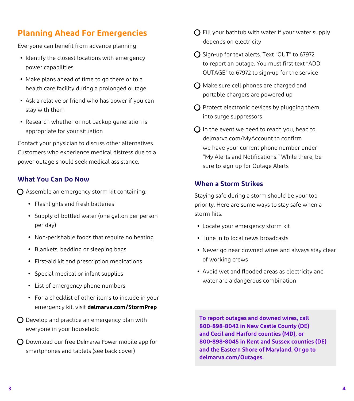## **Planning Ahead For Emergencies**

Everyone can benefit from advance planning:

- Identify the closest locations with emergency power capabilities
- **•** Make plans ahead of time to go there or to a health care facility during a prolonged outage
- **•** Ask a relative or friend who has power if you can stay with them
- Research whether or not backup generation is appropriate for your situation

Contact your physician to discuss other alternatives. Customers who experience medical distress due to a power outage should seek medical assistance.

#### **What You Can Do Now**

 $\Omega$  Assemble an emergency storm kit containing:

- **•** Flashlights and fresh batteries
- Supply of bottled water (one gallon per person per day)
- Non-perishable foods that require no heating
- Blankets, bedding or sleeping bags
- First-aid kit and prescription medications
- Special medical or infant supplies
- List of emergency phone numbers
- For a checklist of other items to include in your emergency kit, visit **[delmarva.com/StormPrep](http://www.delmarva.com/StormPrep)**
- $\bigcirc$  Develop and practice an emergency plan with everyone in your household
- $\bigcirc$  Download our free Delmarva Power mobile app for smartphones and tablets (see back cover)
- $\bigcap$  Fill your bathtub with water if your water supply depends on electricity
- $\bigcirc$  Sign-up for text alerts. Text "OUT" to 67972 to report an outage. You must first text "ADD OUTAGE" to 67972 to sign-up for the service
- $\bigcap$  Make sure cell phones are charged and portable chargers are powered up
- $\bigcirc$  Protect electronic devices by plugging them into surge suppressors
- $\Omega$  In the event we need to reach you, head to [delmarva.com/MyAccount](http://www.delmarva.com/MyAccount) to confirm we have your current phone number under "My Alerts and Notifications." While there, be sure to sign-up for Outage Alerts

#### **When a Storm Strikes**

Staying safe during a storm should be your top priority. Here are some ways to stay safe when a storm hits:

- **•** Locate your emergency storm kit
- **•** Tune in to local news broadcasts
- **•** Never go near downed wires and always stay clear of working crews
- **•** Avoid wet and flooded areas as electricity and water are a dangerous combination

**To report outages and downed wires, call 800-898-8042 in New Castle County (DE) and Cecil and Harford counties (MD), or 800-898-8045 in Kent and Sussex counties (DE) and the Eastern Shore of Maryland. Or go to [delmarva.com/Outages](http://www.delmarva.com/Outages).**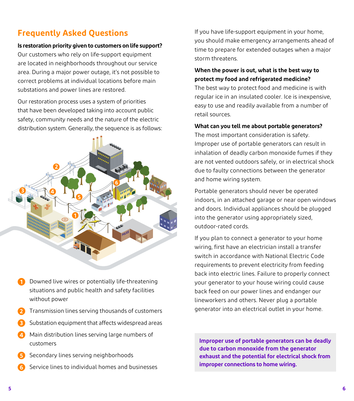### **Frequently Asked Questions**

#### **Is restoration priority given to customers on life support?**

Our customers who rely on life-support equipment are located in neighborhoods throughout our service area. During a major power outage, it's not possible to correct problems at individual locations before main substations and power lines are restored.

Our restoration process uses a system of priorities that have been developed taking into account public safety, community needs and the nature of the electric distribution system. Generally, the sequence is as follows:



- **1** Downed live wires or potentially life-threatening situations and public health and safety facilities without power
- **2** Transmission lines serving thousands of customers
- **3** Substation equipment that affects widespread areas
- **4** Main distribution lines serving large numbers of customers
- **5** Secondary lines serving neighborhoods
- **6** Service lines to individual homes and businesses

If you have life-support equipment in your home, you should make emergency arrangements ahead of time to prepare for extended outages when a major storm threatens.

#### **When the power is out, what is the best way to protect my food and refrigerated medicine?**

The best way to protect food and medicine is with regular ice in an insulated cooler. Ice is inexpensive, easy to use and readily available from a number of retail sources.

#### **What can you tell me about portable generators?**

The most important consideration is safety. Improper use of portable generators can result in inhalation of deadly carbon monoxide fumes if they are not vented outdoors safely, or in electrical shock due to faulty connections between the generator and home wiring system.

Portable generators should never be operated indoors, in an attached garage or near open windows and doors. Individual appliances should be plugged into the generator using appropriately sized, outdoor-rated cords.

If you plan to connect a generator to your home wiring, first have an electrician install a transfer switch in accordance with National Electric Code requirements to prevent electricity from feeding back into electric lines. Failure to properly connect your generator to your house wiring could cause back feed on our power lines and endanger our lineworkers and others. Never plug a portable generator into an electrical outlet in your home.

**Improper use of portable generators can be deadly due to carbon monoxide from the generator exhaust and the potential for electrical shock from improper connections to home wiring.**